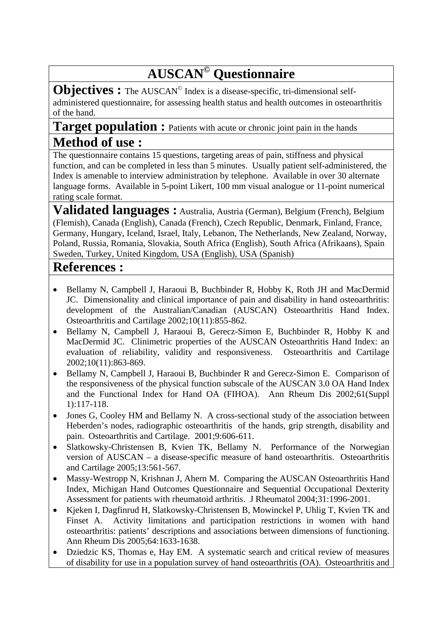## **AUSCAN© Questionnaire**

**Objectives :** The AUSCAN<sup>®</sup> Index is a disease-specific, tri-dimensional selfadministered questionnaire, for assessing health status and health outcomes in osteoarthritis of the hand.

## Target population : Patients with acute or chronic joint pain in the hands **Method of use :**

The questionnaire contains 15 questions, targeting areas of pain, stiffness and physical function, and can be completed in less than 5 minutes. Usually patient self-administered, the Index is amenable to interview administration by telephone. Available in over 30 alternate language forms. Available in 5-point Likert, 100 mm visual analogue or 11-point numerical rating scale format.

**Validated languages :** Australia, Austria (German), Belgium (French), Belgium (Flemish), Canada (English), Canada (French), Czech Republic, Denmark, Finland, France, Germany, Hungary, Iceland, Israel, Italy, Lebanon, The Netherlands, New Zealand, Norway, Poland, Russia, Romania, Slovakia, South Africa (English), South Africa (Afrikaans), Spain Sweden, Turkey, United Kingdom, USA (English), USA (Spanish)

## **References :**

- Bellamy N, Campbell J, Haraoui B, Buchbinder R, Hobby K, Roth JH and MacDermid JC. Dimensionality and clinical importance of pain and disability in hand osteoarthritis: development of the Australian/Canadian (AUSCAN) Osteoarthritis Hand Index. Osteoarthritis and Cartilage 2002;10(11):855-862.
- Bellamy N, Campbell J, Haraoui B, Gerecz-Simon E, Buchbinder R, Hobby K and MacDermid JC. Clinimetric properties of the AUSCAN Osteoarthritis Hand Index: an evaluation of reliability, validity and responsiveness. Osteoarthritis and Cartilage 2002;10(11):863-869.
- Bellamy N, Campbell J, Haraoui B, Buchbinder R and Gerecz-Simon E. Comparison of the responsiveness of the physical function subscale of the AUSCAN 3.0 OA Hand Index and the Functional Index for Hand OA (FIHOA). Ann Rheum Dis 2002;61(Suppl 1):117-118.
- Jones G, Cooley HM and Bellamy N. A cross-sectional study of the association between Heberden's nodes, radiographic osteoarthritis of the hands, grip strength, disability and pain. Osteoarthritis and Cartilage. 2001;9:606-611.
- Slatkowsky-Christensen B, Kvien TK, Bellamy N. Performance of the Norwegian version of AUSCAN – a disease-specific measure of hand osteoarthritis. Osteoarthritis and Cartilage 2005;13:561-567.
- Massy-Westropp N, Krishnan J, Ahern M. Comparing the AUSCAN Osteoarthritis Hand Index, Michigan Hand Outcomes Questionnaire and Sequential Occupational Dexterity Assessment for patients with rheumatoid arthritis. J Rheumatol 2004;31:1996-2001.
- Kjeken I, Dagfinrud H, Slatkowsky-Christensen B, Mowinckel P, Uhlig T, Kvien TK and Finset A. Activity limitations and participation restrictions in women with hand osteoarthritis: patients' descriptions and associations between dimensions of functioning. Ann Rheum Dis 2005;64:1633-1638.
- Dziedzic KS, Thomas e, Hay EM. A systematic search and critical review of measures of disability for use in a population survey of hand osteoarthritis (OA). Osteoarthritis and